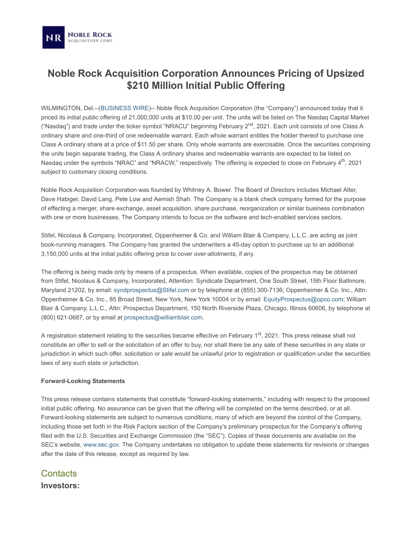## **Noble Rock Acquisition Corporation Announces Pricing of Upsized \$210 Million Initial Public Offering**

WILMINGTON, Del.--([BUSINESS WIRE\)](http://www.businesswire.com/)-- Noble Rock Acquisition Corporation (the "Company") announced today that it priced its initial public offering of 21,000,000 units at \$10.00 per unit. The units will be listed on The Nasdaq Capital Market ("Nasdaq") and trade under the ticker symbol "NRACU" beginning February 2<sup>nd</sup>, 2021. Each unit consists of one Class A ordinary share and one-third of one redeemable warrant. Each whole warrant entitles the holder thereof to purchase one Class A ordinary share at a price of \$11.50 per share. Only whole warrants are exercisable. Once the securities comprising the units begin separate trading, the Class A ordinary shares and redeemable warrants are expected to be listed on Nasdaq under the symbols "NRAC" and "NRACW," respectively. The offering is expected to close on February 4<sup>th</sup>, 2021 subject to customary closing conditions.

Noble Rock Acquisition Corporation was founded by Whitney A. Bower. The Board of Directors includes Michael Alter, Dave Habiger, David Lang, Pete Low and Aemish Shah. The Company is a blank check company formed for the purpose of effecting a merger, share exchange, asset acquisition, share purchase, reorganization or similar business combination with one or more businesses. The Company intends to focus on the software and tech-enabled services sectors.

Stifel, Nicolaus & Company, Incorporated, Oppenheimer & Co. and William Blair & Company, L.L.C. are acting as joint book-running managers. The Company has granted the underwriters a 45-day option to purchase up to an additional 3,150,000 units at the initial public offering price to cover over-allotments, if any.

The offering is being made only by means of a prospectus. When available, copies of the prospectus may be obtained from Stifel, Nicolaus & Company, Incorporated, Attention: Syndicate Department, One South Street, 15th Floor Baltimore, Maryland 21202, by email: [syndprospectus@Stifel.com](mailto:syndprospectus@Stifel.com) or by telephone at (855) 300-7136; Oppenheimer & Co. Inc., Attn: Oppenheimer & Co. Inc., 85 Broad Street, New York, New York 10004 or by email: [EquityProspectus@opco.com;](mailto:EquityProspectus@opco.com) William Blair & Company, L.L.C., Attn: Prospectus Department, 150 North Riverside Plaza, Chicago, Illinois 60606, by telephone at (800) 621-0687, or by email at [prospectus@williamblair.com](mailto:prospectus@williamblair.com).

A registration statement relating to the securities became effective on February 1<sup>st</sup>, 2021. This press release shall not constitute an offer to sell or the solicitation of an offer to buy, nor shall there be any sale of these securities in any state or jurisdiction in which such offer, solicitation or sale would be unlawful prior to registration or qualification under the securities laws of any such state or jurisdiction.

## **Forward-Looking Statements**

This press release contains statements that constitute "forward-looking statements," including with respect to the proposed initial public offering. No assurance can be given that the offering will be completed on the terms described, or at all. Forward-looking statements are subject to numerous conditions, many of which are beyond the control of the Company, including those set forth in the Risk Factors section of the Company's preliminary prospectus for the Company's offering filed with the U.S. Securities and Exchange Commission (the "SEC"). Copies of these documents are available on the SEC's website, [www.sec.gov](https://cts.businesswire.com/ct/CT?id=smartlink&url=http%3A%2F%2Fwww.sec.gov&esheet=52372036&lan=en-US&anchor=www.sec.gov&index=1&md5=eae7465108c739eecac04a010f96e708). The Company undertakes no obligation to update these statements for revisions or changes after the date of this release, except as required by law.

**Contacts Investors:**